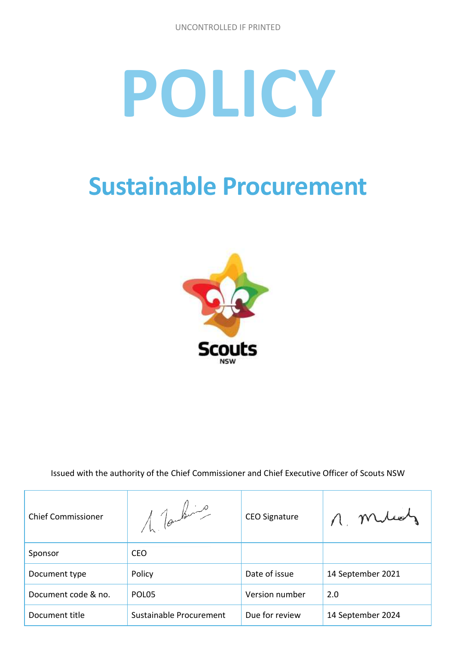# **POLICY**

## **Sustainable Procurement**



Issued with the authority of the Chief Commissioner and Chief Executive Officer of Scouts NSW

| <b>Chief Commissioner</b> | 1. Tombris              | <b>CEO Signature</b> | n. mus            |
|---------------------------|-------------------------|----------------------|-------------------|
| Sponsor                   | <b>CEO</b>              |                      |                   |
| Document type             | Policy                  | Date of issue        | 14 September 2021 |
| Document code & no.       | POLO <sub>5</sub>       | Version number       | 2.0               |
| Document title            | Sustainable Procurement | Due for review       | 14 September 2024 |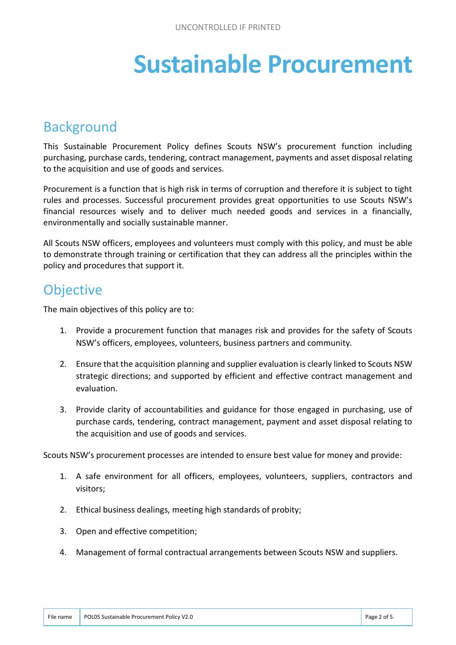## **Sustainable Procurement**

#### Background

This Sustainable Procurement Policy defines Scouts NSW's procurement function including purchasing, purchase cards, tendering, contract management, payments and asset disposal relating to the acquisition and use of goods and services.

Procurement is a function that is high risk in terms of corruption and therefore it is subject to tight rules and processes. Successful procurement provides great opportunities to use Scouts NSW's financial resources wisely and to deliver much needed goods and services in a financially, environmentally and socially sustainable manner.

All Scouts NSW officers, employees and volunteers must comply with this policy, and must be able to demonstrate through training or certification that they can address all the principles within the policy and procedures that support it.

#### **Objective**

The main objectives of this policy are to:

- 1. Provide a procurement function that manages risk and provides for the safety of Scouts NSW's officers, employees, volunteers, business partners and community.
- 2. Ensure that the acquisition planning and supplier evaluation is clearly linked to Scouts NSW strategic directions; and supported by efficient and effective contract management and evaluation.
- 3. Provide clarity of accountabilities and guidance for those engaged in purchasing, use of purchase cards, tendering, contract management, payment and asset disposal relating to the acquisition and use of goods and services.

Scouts NSW's procurement processes are intended to ensure best value for money and provide:

- 1. A safe environment for all officers, employees, volunteers, suppliers, contractors and visitors;
- 2. Ethical business dealings, meeting high standards of probity;
- 3. Open and effective competition;
- 4. Management of formal contractual arrangements between Scouts NSW and suppliers.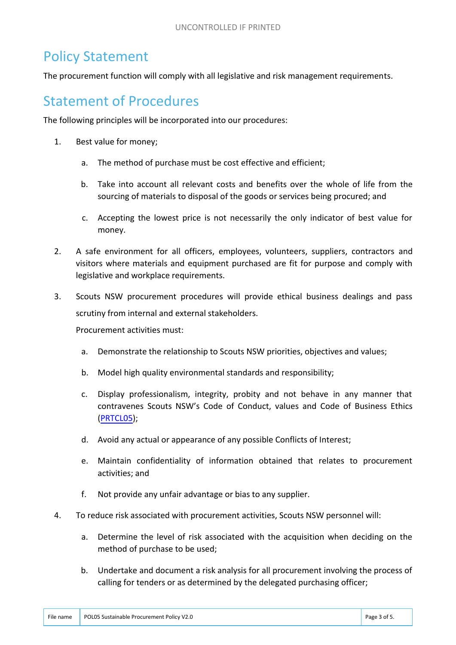### Policy Statement

The procurement function will comply with all legislative and risk management requirements.

#### Statement of Procedures

The following principles will be incorporated into our procedures:

- 1. Best value for money;
	- a. The method of purchase must be cost effective and efficient;
	- b. Take into account all relevant costs and benefits over the whole of life from the sourcing of materials to disposal of the goods or services being procured; and
	- c. Accepting the lowest price is not necessarily the only indicator of best value for money.
- 2. A safe environment for all officers, employees, volunteers, suppliers, contractors and visitors where materials and equipment purchased are fit for purpose and comply with legislative and workplace requirements.
- 3. Scouts NSW procurement procedures will provide ethical business dealings and pass scrutiny from internal and external stakeholders.

Procurement activities must:

- a. Demonstrate the relationship to Scouts NSW priorities, objectives and values;
- b. Model high quality environmental standards and responsibility;
- c. Display professionalism, integrity, probity and not behave in any manner that contravenes Scouts NSW's Code of Conduct, values and Code of Business Ethics [\(PRTCL05\)](https://www.nsw.scouts.com.au/prtcl05-code-of-business-ethics-v2-0-final-signed/);
- d. Avoid any actual or appearance of any possible Conflicts of Interest;
- e. Maintain confidentiality of information obtained that relates to procurement activities; and
- f. Not provide any unfair advantage or bias to any supplier.
- 4. To reduce risk associated with procurement activities, Scouts NSW personnel will:
	- a. Determine the level of risk associated with the acquisition when deciding on the method of purchase to be used;
	- b. Undertake and document a risk analysis for all procurement involving the process of calling for tenders or as determined by the delegated purchasing officer;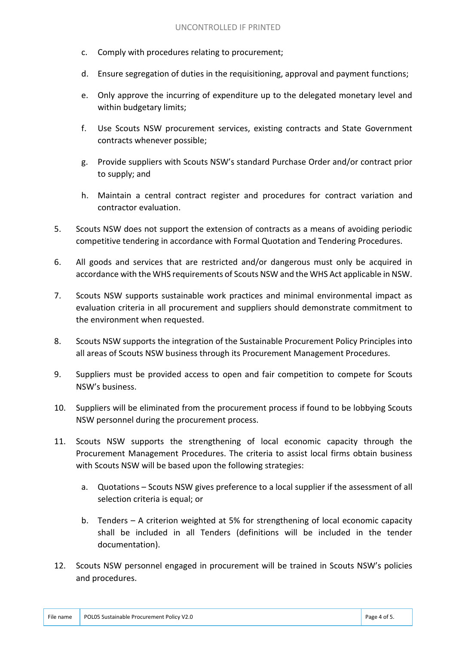- c. Comply with procedures relating to procurement;
- d. Ensure segregation of duties in the requisitioning, approval and payment functions;
- e. Only approve the incurring of expenditure up to the delegated monetary level and within budgetary limits;
- f. Use Scouts NSW procurement services, existing contracts and State Government contracts whenever possible;
- g. Provide suppliers with Scouts NSW's standard Purchase Order and/or contract prior to supply; and
- h. Maintain a central contract register and procedures for contract variation and contractor evaluation.
- 5. Scouts NSW does not support the extension of contracts as a means of avoiding periodic competitive tendering in accordance with Formal Quotation and Tendering Procedures.
- 6. All goods and services that are restricted and/or dangerous must only be acquired in accordance with the WHS requirements of Scouts NSW and the WHS Act applicable in NSW.
- 7. Scouts NSW supports sustainable work practices and minimal environmental impact as evaluation criteria in all procurement and suppliers should demonstrate commitment to the environment when requested.
- 8. Scouts NSW supports the integration of the Sustainable Procurement Policy Principles into all areas of Scouts NSW business through its Procurement Management Procedures.
- 9. Suppliers must be provided access to open and fair competition to compete for Scouts NSW's business.
- 10. Suppliers will be eliminated from the procurement process if found to be lobbying Scouts NSW personnel during the procurement process.
- 11. Scouts NSW supports the strengthening of local economic capacity through the Procurement Management Procedures. The criteria to assist local firms obtain business with Scouts NSW will be based upon the following strategies:
	- a. Quotations Scouts NSW gives preference to a local supplier if the assessment of all selection criteria is equal; or
	- b. Tenders A criterion weighted at 5% for strengthening of local economic capacity shall be included in all Tenders (definitions will be included in the tender documentation).
- 12. Scouts NSW personnel engaged in procurement will be trained in Scouts NSW's policies and procedures.